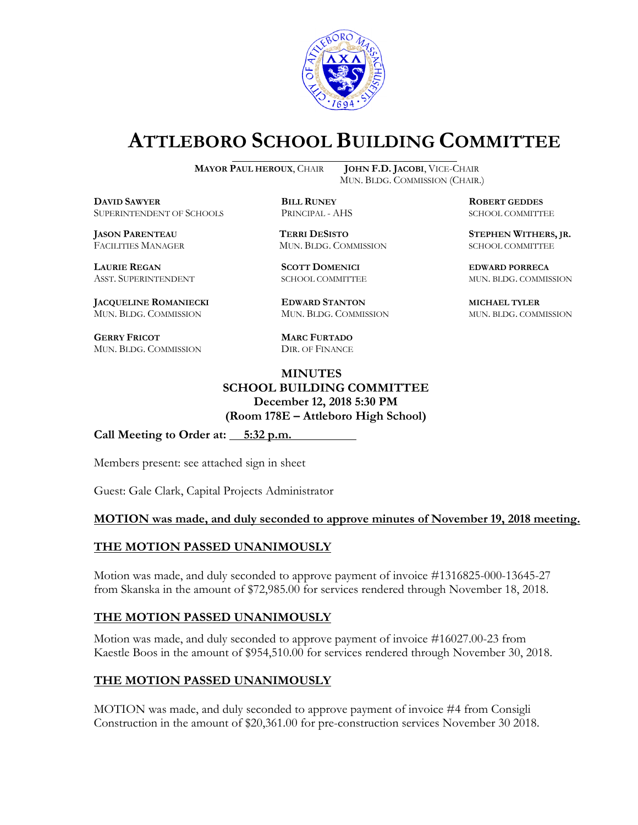

# **ATTLEBORO SCHOOL BUILDING COMMITTEE**

**MAYOR PAUL HEROUX**, CHAIR **JOHN F.D. JACOBI**, VICE-CHAIR

**DDAWYER BILL RUNEY ROBERT GEDDES** SUPERINTENDENT OF SCHOOLS PRINCIPAL - AHS SCHOOL COMMITTEE

**LAURIE REGAN SCOTT DOMENICI EDWARD PORRECA**

**JACQUELINE ROMANIECKI EDWARD STANTON MICHAEL TYLER** MUN. BLDG. COMMISSION MUN. BLDG. COMMISSION MUN. BLDG. COMMISSION

**GERRY FRICOT MARC FURTADO** MUN. BLDG. COMMISSION DIR. OF FINANCE

MUN. BLDG. COMMISSION (CHAIR.)

FACILITIES MANAGER MUN. BLDG. COMMISSION SCHOOL COMMITTEE

### **MINUTES SCHOOL BUILDING COMMITTEE December 12, 2018 5:30 PM (Room 178E – Attleboro High School)**

Call Meeting to Order at: 5:32 p.m.

Members present: see attached sign in sheet

Guest: Gale Clark, Capital Projects Administrator

#### **MOTION was made, and duly seconded to approve minutes of November 19, 2018 meeting.**

#### **THE MOTION PASSED UNANIMOUSLY**

Motion was made, and duly seconded to approve payment of invoice #1316825-000-13645-27 from Skanska in the amount of \$72,985.00 for services rendered through November 18, 2018.

#### **THE MOTION PASSED UNANIMOUSLY**

Motion was made, and duly seconded to approve payment of invoice #16027.00-23 from Kaestle Boos in the amount of \$954,510.00 for services rendered through November 30, 2018.

## **THE MOTION PASSED UNANIMOUSLY**

MOTION was made, and duly seconded to approve payment of invoice #4 from Consigli Construction in the amount of \$20,361.00 for pre-construction services November 30 2018.

**JASON PARENTEAU TERRI DESISTO STEPHEN WITHERS, JR.**

ASST. SUPERINTENDENT SCHOOL COMMITTEE MUN. BLDG. COMMISSION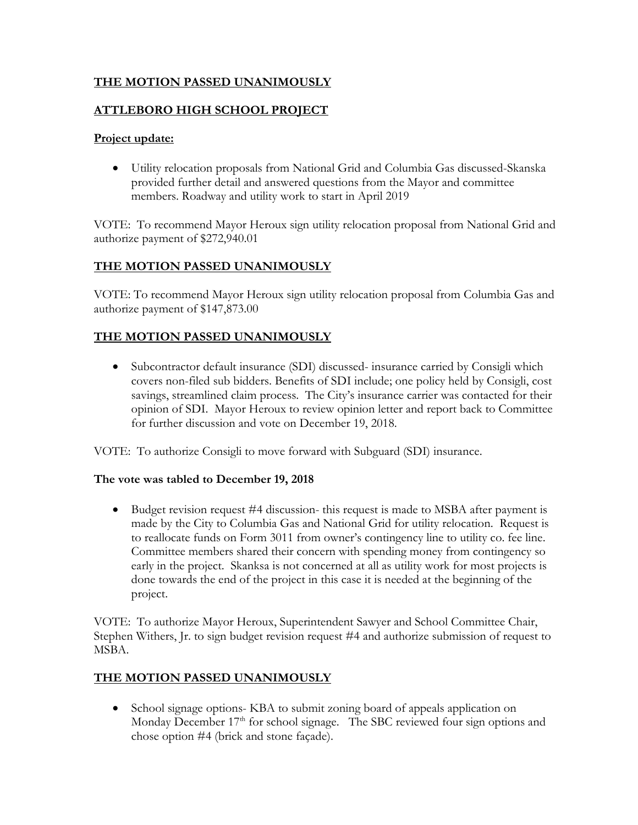## **THE MOTION PASSED UNANIMOUSLY**

## **ATTLEBORO HIGH SCHOOL PROJECT**

## **Project update:**

• Utility relocation proposals from National Grid and Columbia Gas discussed-Skanska provided further detail and answered questions from the Mayor and committee members. Roadway and utility work to start in April 2019

VOTE: To recommend Mayor Heroux sign utility relocation proposal from National Grid and authorize payment of \$272,940.01

# **THE MOTION PASSED UNANIMOUSLY**

VOTE: To recommend Mayor Heroux sign utility relocation proposal from Columbia Gas and authorize payment of \$147,873.00

# **THE MOTION PASSED UNANIMOUSLY**

• Subcontractor default insurance (SDI) discussed- insurance carried by Consigli which covers non-filed sub bidders. Benefits of SDI include; one policy held by Consigli, cost savings, streamlined claim process. The City's insurance carrier was contacted for their opinion of SDI. Mayor Heroux to review opinion letter and report back to Committee for further discussion and vote on December 19, 2018.

VOTE: To authorize Consigli to move forward with Subguard (SDI) insurance.

#### **The vote was tabled to December 19, 2018**

• Budget revision request #4 discussion- this request is made to MSBA after payment is made by the City to Columbia Gas and National Grid for utility relocation. Request is to reallocate funds on Form 3011 from owner's contingency line to utility co. fee line. Committee members shared their concern with spending money from contingency so early in the project. Skanksa is not concerned at all as utility work for most projects is done towards the end of the project in this case it is needed at the beginning of the project.

VOTE: To authorize Mayor Heroux, Superintendent Sawyer and School Committee Chair, Stephen Withers, Jr. to sign budget revision request #4 and authorize submission of request to MSBA.

## **THE MOTION PASSED UNANIMOUSLY**

• School signage options- KBA to submit zoning board of appeals application on Monday December  $17<sup>th</sup>$  for school signage. The SBC reviewed four sign options and chose option #4 (brick and stone façade).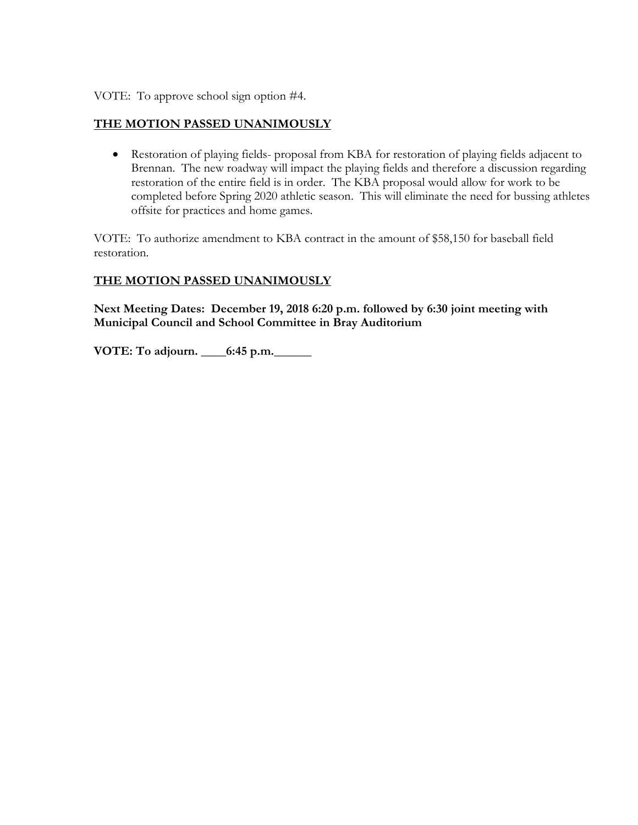VOTE: To approve school sign option #4.

### **THE MOTION PASSED UNANIMOUSLY**

• Restoration of playing fields- proposal from KBA for restoration of playing fields adjacent to Brennan. The new roadway will impact the playing fields and therefore a discussion regarding restoration of the entire field is in order. The KBA proposal would allow for work to be completed before Spring 2020 athletic season. This will eliminate the need for bussing athletes offsite for practices and home games.

VOTE: To authorize amendment to KBA contract in the amount of \$58,150 for baseball field restoration.

## **THE MOTION PASSED UNANIMOUSLY**

**Next Meeting Dates: December 19, 2018 6:20 p.m. followed by 6:30 joint meeting with Municipal Council and School Committee in Bray Auditorium**

**VOTE: To adjourn. \_\_\_\_6:45 p.m.\_\_\_\_\_\_**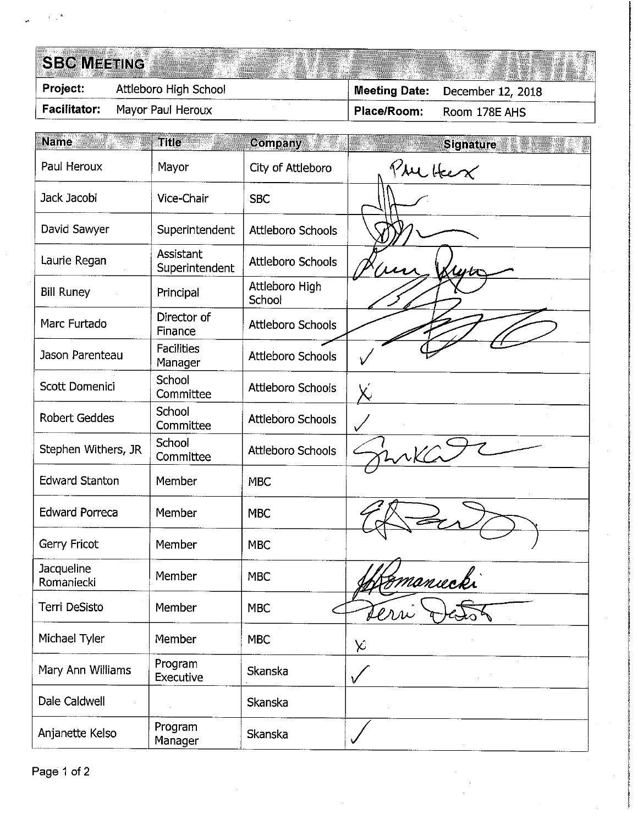# **SBC MEETING**

Attleboro High School Project: December 12, 2018 **Meeting Date: Facilitator:** Mayor Paul Heroux Room 178E AHS Place/Room:

| <b>Name</b>              | <b>Title</b>                 | $Company^{-1}$<br><b>The Se</b> | <b>Signature</b> |
|--------------------------|------------------------------|---------------------------------|------------------|
| Paul Heroux              | Mayor                        | City of Attleboro               | The Heex         |
| Jack Jacobi              | Vice-Chair                   | <b>SBC</b>                      |                  |
| David Sawyer             | Superintendent               | Attleboro Schools               |                  |
| Laurie Regan             | Assistant<br>Superintendent  | Attleboro Schools               |                  |
| <b>Bill Runey</b>        | Principal                    | Attleboro High<br>School        |                  |
| Marc Furtado             | Director of<br>Finance       | <b>Attleboro Schools</b>        |                  |
| Jason Parenteau          | <b>Facilities</b><br>Manager | Attleboro Schools               |                  |
| Scott Domenici           | School<br>Committee          | <b>Attleboro Schools</b>        |                  |
| <b>Robert Geddes</b>     | School<br>Committee          | <b>Attleboro Schools</b>        |                  |
| Stephen Withers, JR      | School<br>Committee          | Attleboro Schools               |                  |
| <b>Edward Stanton</b>    | Member                       | <b>MBC</b>                      |                  |
| <b>Edward Porreca</b>    | Member                       | <b>MBC</b>                      |                  |
| Gerry Fricot             | Member                       | <b>MBC</b>                      |                  |
| Jacqueline<br>Romaniecki | Member                       | <b>MBC</b>                      | manucki          |
| Terri DeSisto            | Member                       | MBC                             | terri            |
| Michael Tyler            | Member                       | <b>MBC</b>                      | X                |
| Mary Ann Williams        | Program<br>Executive         | Skanska                         |                  |
| Dale Caldwell            |                              | Skanska                         |                  |
| Anjanette Kelso          | Program<br>Manager           | Skanska                         |                  |